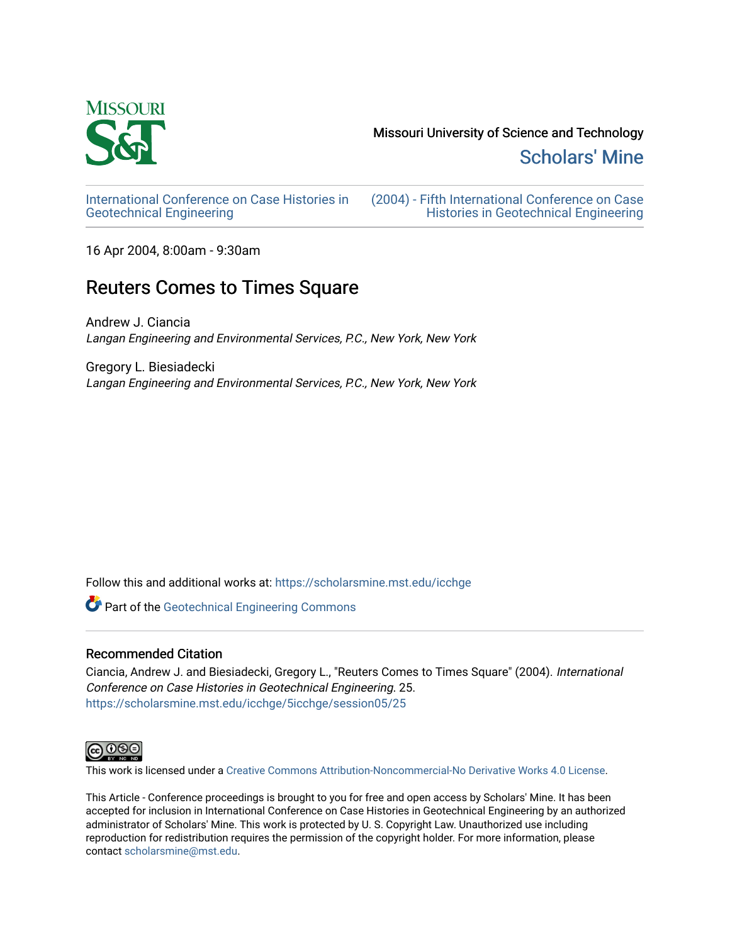

Missouri University of Science and Technology

[Scholars' Mine](https://scholarsmine.mst.edu/) 

[International Conference on Case Histories in](https://scholarsmine.mst.edu/icchge)  [Geotechnical Engineering](https://scholarsmine.mst.edu/icchge)

[\(2004\) - Fifth International Conference on Case](https://scholarsmine.mst.edu/icchge/5icchge)  [Histories in Geotechnical Engineering](https://scholarsmine.mst.edu/icchge/5icchge) 

16 Apr 2004, 8:00am - 9:30am

# Reuters Comes to Times Square

Andrew J. Ciancia Langan Engineering and Environmental Services, P.C., New York, New York

Gregory L. Biesiadecki Langan Engineering and Environmental Services, P.C., New York, New York

Follow this and additional works at: [https://scholarsmine.mst.edu/icchge](https://scholarsmine.mst.edu/icchge?utm_source=scholarsmine.mst.edu%2Ficchge%2F5icchge%2Fsession05%2F25&utm_medium=PDF&utm_campaign=PDFCoverPages) 

**Part of the Geotechnical Engineering Commons** 

## Recommended Citation

Ciancia, Andrew J. and Biesiadecki, Gregory L., "Reuters Comes to Times Square" (2004). International Conference on Case Histories in Geotechnical Engineering. 25. [https://scholarsmine.mst.edu/icchge/5icchge/session05/25](https://scholarsmine.mst.edu/icchge/5icchge/session05/25?utm_source=scholarsmine.mst.edu%2Ficchge%2F5icchge%2Fsession05%2F25&utm_medium=PDF&utm_campaign=PDFCoverPages) 



This work is licensed under a [Creative Commons Attribution-Noncommercial-No Derivative Works 4.0 License.](https://creativecommons.org/licenses/by-nc-nd/4.0/)

This Article - Conference proceedings is brought to you for free and open access by Scholars' Mine. It has been accepted for inclusion in International Conference on Case Histories in Geotechnical Engineering by an authorized administrator of Scholars' Mine. This work is protected by U. S. Copyright Law. Unauthorized use including reproduction for redistribution requires the permission of the copyright holder. For more information, please contact [scholarsmine@mst.edu](mailto:scholarsmine@mst.edu).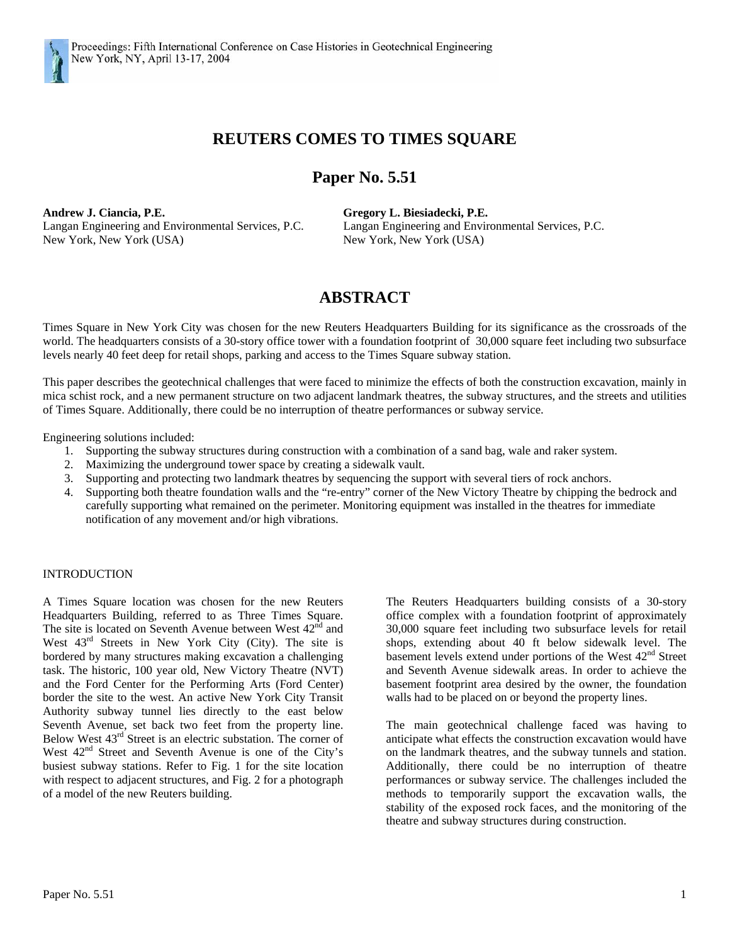

# **REUTERS COMES TO TIMES SQUARE**

# **Paper No. 5.51**

**Andrew J. Ciancia, P.E. Gregory L. Biesiadecki, P.E.**  Langan Engineering and Environmental Services, P.C. Langan Engineering and Environmental Services, P.C. New York, New York (USA) New York, New York (USA)

# **ABSTRACT**

Times Square in New York City was chosen for the new Reuters Headquarters Building for its significance as the crossroads of the world. The headquarters consists of a 30-story office tower with a foundation footprint of 30,000 square feet including two subsurface levels nearly 40 feet deep for retail shops, parking and access to the Times Square subway station.

This paper describes the geotechnical challenges that were faced to minimize the effects of both the construction excavation, mainly in mica schist rock, and a new permanent structure on two adjacent landmark theatres, the subway structures, and the streets and utilities of Times Square. Additionally, there could be no interruption of theatre performances or subway service.

Engineering solutions included:

- 1. Supporting the subway structures during construction with a combination of a sand bag, wale and raker system.
- 2. Maximizing the underground tower space by creating a sidewalk vault.
- 3. Supporting and protecting two landmark theatres by sequencing the support with several tiers of rock anchors.
- 4. Supporting both theatre foundation walls and the "re-entry" corner of the New Victory Theatre by chipping the bedrock and carefully supporting what remained on the perimeter. Monitoring equipment was installed in the theatres for immediate notification of any movement and/or high vibrations.

#### INTRODUCTION

A Times Square location was chosen for the new Reuters Headquarters Building, referred to as Three Times Square. The site is located on Seventh Avenue between West 42<sup>nd</sup> and West 43rd Streets in New York City (City). The site is bordered by many structures making excavation a challenging task. The historic, 100 year old, New Victory Theatre (NVT) and the Ford Center for the Performing Arts (Ford Center) border the site to the west. An active New York City Transit Authority subway tunnel lies directly to the east below Seventh Avenue, set back two feet from the property line. Below West 43rd Street is an electric substation. The corner of West  $42<sup>nd</sup>$  Street and Seventh Avenue is one of the City's busiest subway stations. Refer to Fig. 1 for the site location with respect to adjacent structures, and Fig. 2 for a photograph of a model of the new Reuters building.

The Reuters Headquarters building consists of a 30-story office complex with a foundation footprint of approximately 30,000 square feet including two subsurface levels for retail shops, extending about 40 ft below sidewalk level. The basement levels extend under portions of the West 42<sup>nd</sup> Street and Seventh Avenue sidewalk areas. In order to achieve the basement footprint area desired by the owner, the foundation walls had to be placed on or beyond the property lines.

The main geotechnical challenge faced was having to anticipate what effects the construction excavation would have on the landmark theatres, and the subway tunnels and station. Additionally, there could be no interruption of theatre performances or subway service. The challenges included the methods to temporarily support the excavation walls, the stability of the exposed rock faces, and the monitoring of the theatre and subway structures during construction.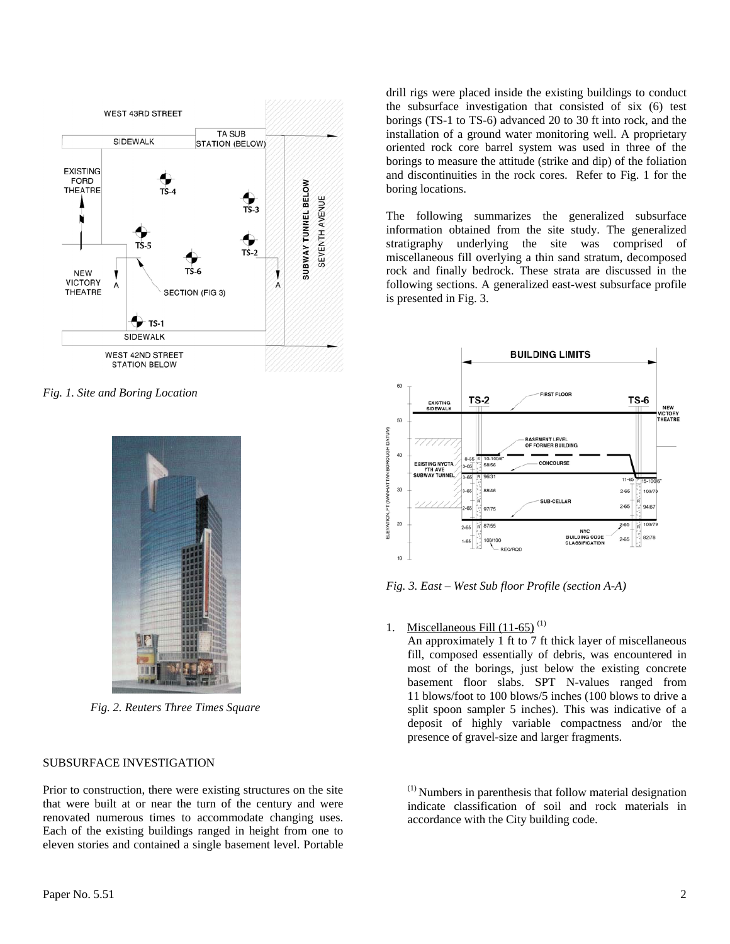

*Fig. 1. Site and Boring Location* 



*Fig. 2. Reuters Three Times Square* 

### SUBSURFACE INVESTIGATION

Prior to construction, there were existing structures on the site that were built at or near the turn of the century and were renovated numerous times to accommodate changing uses. Each of the existing buildings ranged in height from one to eleven stories and contained a single basement level. Portable

drill rigs were placed inside the existing buildings to conduct the subsurface investigation that consisted of six (6) test borings (TS-1 to TS-6) advanced 20 to 30 ft into rock, and the installation of a ground water monitoring well. A proprietary oriented rock core barrel system was used in three of the borings to measure the attitude (strike and dip) of the foliation and discontinuities in the rock cores. Refer to Fig. 1 for the boring locations.

The following summarizes the generalized subsurface information obtained from the site study. The generalized stratigraphy underlying the site was comprised of miscellaneous fill overlying a thin sand stratum, decomposed rock and finally bedrock. These strata are discussed in the following sections. A generalized east-west subsurface profile is presented in Fig. 3.



*Fig. 3. East – West Sub floor Profile (section A-A)* 

### 1. Miscellaneous Fill  $(11-65)^{(1)}$

An approximately 1 ft to 7 ft thick layer of miscellaneous fill, composed essentially of debris, was encountered in most of the borings, just below the existing concrete basement floor slabs. SPT N-values ranged from 11 blows/foot to 100 blows/5 inches (100 blows to drive a split spoon sampler 5 inches). This was indicative of a deposit of highly variable compactness and/or the presence of gravel-size and larger fragments.

 $<sup>(1)</sup>$  Numbers in parenthesis that follow material designation</sup> indicate classification of soil and rock materials in accordance with the City building code.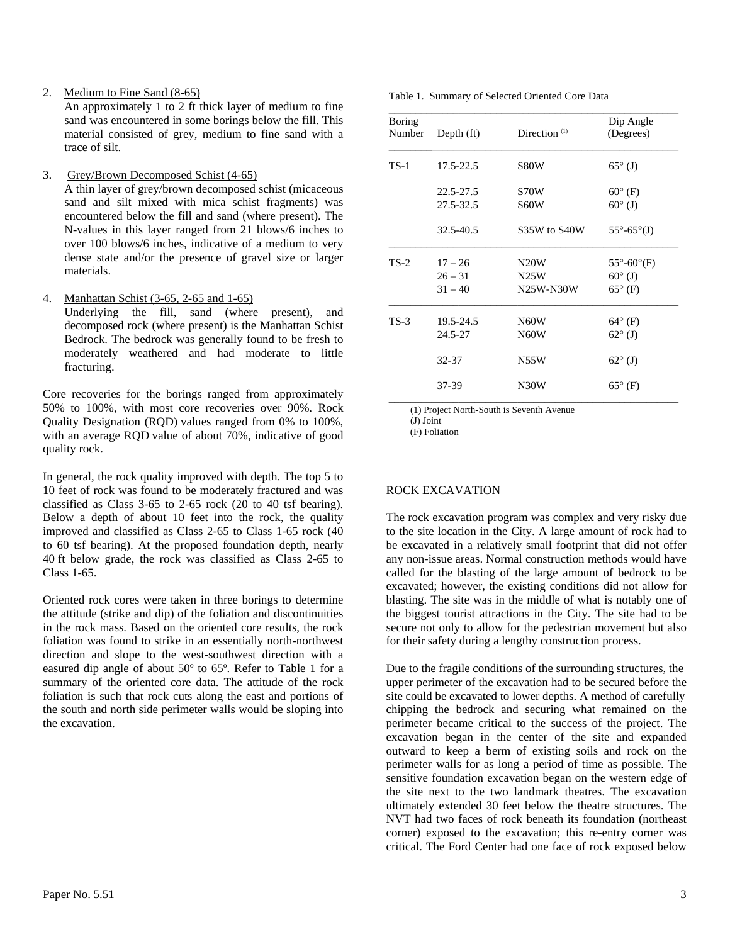2. Medium to Fine Sand (8-65)

An approximately 1 to 2 ft thick layer of medium to fine sand was encountered in some borings below the fill. This material consisted of grey, medium to fine sand with a trace of silt.

3. Grey/Brown Decomposed Schist (4-65)

A thin layer of grey/brown decomposed schist (micaceous sand and silt mixed with mica schist fragments) was encountered below the fill and sand (where present). The N-values in this layer ranged from 21 blows/6 inches to over 100 blows/6 inches, indicative of a medium to very dense state and/or the presence of gravel size or larger materials.

4. Manhattan Schist (3-65, 2-65 and 1-65)

Underlying the fill, sand (where present), and decomposed rock (where present) is the Manhattan Schist Bedrock. The bedrock was generally found to be fresh to moderately weathered and had moderate to little fracturing.

Core recoveries for the borings ranged from approximately 50% to 100%, with most core recoveries over 90%. Rock Quality Designation (RQD) values ranged from 0% to 100%, with an average RQD value of about 70%, indicative of good quality rock.

In general, the rock quality improved with depth. The top 5 to 10 feet of rock was found to be moderately fractured and was classified as Class 3-65 to 2-65 rock (20 to 40 tsf bearing). Below a depth of about 10 feet into the rock, the quality improved and classified as Class 2-65 to Class 1-65 rock (40 to 60 tsf bearing). At the proposed foundation depth, nearly 40 ft below grade, the rock was classified as Class 2-65 to Class 1-65.

Oriented rock cores were taken in three borings to determine the attitude (strike and dip) of the foliation and discontinuities in the rock mass. Based on the oriented core results, the rock foliation was found to strike in an essentially north-northwest direction and slope to the west-southwest direction with a easured dip angle of about 50º to 65º. Refer to Table 1 for a summary of the oriented core data. The attitude of the rock foliation is such that rock cuts along the east and portions of the south and north side perimeter walls would be sloping into the excavation.

| <b>Boring</b><br>Number | Depth (ft) | Direction <sup>(1)</sup> | Dip Angle<br>(Degrees)       |
|-------------------------|------------|--------------------------|------------------------------|
| $TS-1$                  | 17.5-22.5  | S80W                     | $65^{\circ}$ (J)             |
|                         | 22.5-27.5  | S70W                     | $60^{\circ}$ (F)             |
|                         | 27.5-32.5  | S60W                     | $60^{\circ}$ (J)             |
|                         | 32.5-40.5  | S35W to S40W             | $55^{\circ} - 65^{\circ}(J)$ |
| $TS-2$                  | $17 - 26$  | N <sub>20</sub> W        | $55^\circ - 60^\circ$ (F)    |
|                         | $26 - 31$  | N25W                     | $60^{\circ}$ (J)             |
|                         | $31 - 40$  | N25W-N30W                | $65^{\circ}$ (F)             |
| $TS-3$                  | 19.5-24.5  | N <sub>60</sub> W        | $64^{\circ}$ (F)             |
|                         | 24.5-27    | N60W                     | $62^{\circ}$ (J)             |
|                         | 32-37      | N55W                     | $62^{\circ}$ (J)             |
|                         | 37-39      | N30W                     | $65^{\circ}$ (F)             |

(1) Project North-South is Seventh Avenue

(J) Joint

(F) Foliation

### ROCK EXCAVATION

The rock excavation program was complex and very risky due to the site location in the City. A large amount of rock had to be excavated in a relatively small footprint that did not offer any non-issue areas. Normal construction methods would have called for the blasting of the large amount of bedrock to be excavated; however, the existing conditions did not allow for blasting. The site was in the middle of what is notably one of the biggest tourist attractions in the City. The site had to be secure not only to allow for the pedestrian movement but also for their safety during a lengthy construction process.

Due to the fragile conditions of the surrounding structures, the upper perimeter of the excavation had to be secured before the site could be excavated to lower depths. A method of carefully chipping the bedrock and securing what remained on the perimeter became critical to the success of the project. The excavation began in the center of the site and expanded outward to keep a berm of existing soils and rock on the perimeter walls for as long a period of time as possible. The sensitive foundation excavation began on the western edge of the site next to the two landmark theatres. The excavation ultimately extended 30 feet below the theatre structures. The NVT had two faces of rock beneath its foundation (northeast corner) exposed to the excavation; this re-entry corner was critical. The Ford Center had one face of rock exposed below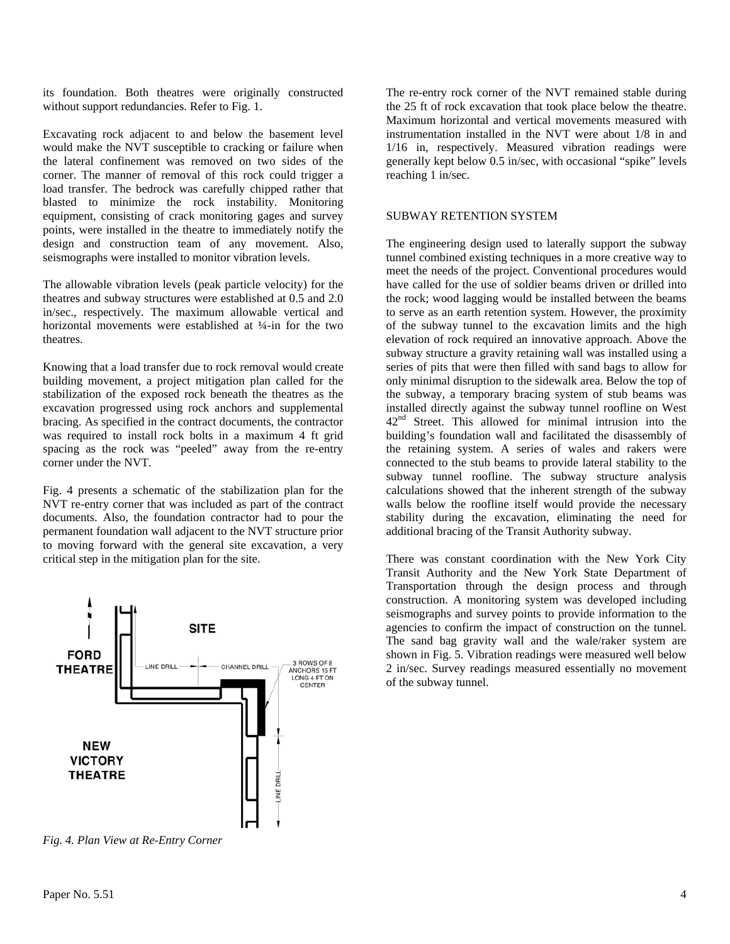its foundation. Both theatres were originally constructed without support redundancies. Refer to Fig. 1.

Excavating rock adjacent to and below the basement level would make the NVT susceptible to cracking or failure when the lateral confinement was removed on two sides of the corner. The manner of removal of this rock could trigger a load transfer. The bedrock was carefully chipped rather that blasted to minimize the rock instability. Monitoring equipment, consisting of crack monitoring gages and survey points, were installed in the theatre to immediately notify the design and construction team of any movement. Also, seismographs were installed to monitor vibration levels.

The allowable vibration levels (peak particle velocity) for the theatres and subway structures were established at 0.5 and 2.0 in/sec., respectively. The maximum allowable vertical and horizontal movements were established at ¼-in for the two theatres.

Knowing that a load transfer due to rock removal would create building movement, a project mitigation plan called for the stabilization of the exposed rock beneath the theatres as the excavation progressed using rock anchors and supplemental bracing. As specified in the contract documents, the contractor was required to install rock bolts in a maximum 4 ft grid spacing as the rock was "peeled" away from the re-entry corner under the NVT.

Fig. 4 presents a schematic of the stabilization plan for the NVT re-entry corner that was included as part of the contract documents. Also, the foundation contractor had to pour the permanent foundation wall adjacent to the NVT structure prior to moving forward with the general site excavation, a very critical step in the mitigation plan for the site.



*Fig. 4. Plan View at Re-Entry Corner* 

The re-entry rock corner of the NVT remained stable during the 25 ft of rock excavation that took place below the theatre. Maximum horizontal and vertical movements measured with instrumentation installed in the NVT were about 1/8 in and 1/16 in, respectively. Measured vibration readings were generally kept below 0.5 in/sec, with occasional "spike" levels reaching 1 in/sec.

#### SUBWAY RETENTION SYSTEM

The engineering design used to laterally support the subway tunnel combined existing techniques in a more creative way to meet the needs of the project. Conventional procedures would have called for the use of soldier beams driven or drilled into the rock; wood lagging would be installed between the beams to serve as an earth retention system. However, the proximity of the subway tunnel to the excavation limits and the high elevation of rock required an innovative approach. Above the subway structure a gravity retaining wall was installed using a series of pits that were then filled with sand bags to allow for only minimal disruption to the sidewalk area. Below the top of the subway, a temporary bracing system of stub beams was installed directly against the subway tunnel roofline on West 42<sup>nd</sup> Street. This allowed for minimal intrusion into the building's foundation wall and facilitated the disassembly of the retaining system. A series of wales and rakers were connected to the stub beams to provide lateral stability to the subway tunnel roofline. The subway structure analysis calculations showed that the inherent strength of the subway walls below the roofline itself would provide the necessary stability during the excavation, eliminating the need for additional bracing of the Transit Authority subway.

There was constant coordination with the New York City Transit Authority and the New York State Department of Transportation through the design process and through construction. A monitoring system was developed including seismographs and survey points to provide information to the agencies to confirm the impact of construction on the tunnel. The sand bag gravity wall and the wale/raker system are shown in Fig. 5. Vibration readings were measured well below 2 in/sec. Survey readings measured essentially no movement of the subway tunnel.